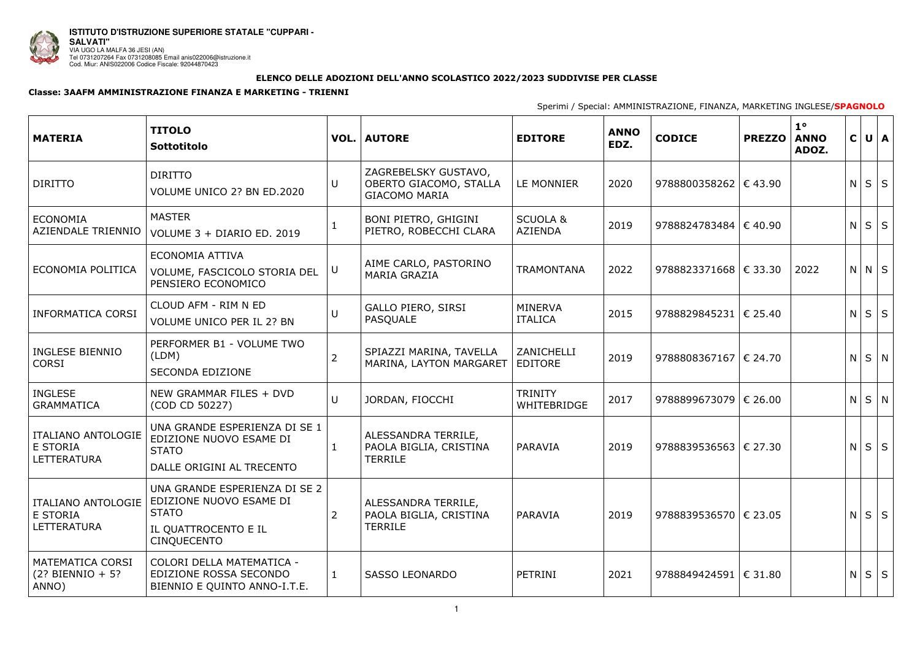

## **ELENCO DELLE ADOZIONI DELL'ANNO SCOLASTICO 2022/2023 SUDDIVISE PER CLASSE**

## **Classe: 3AAFM AMMINISTRAZIONE FINANZA E MARKETING - TRIENNI**

Sperimi / Special: AMMINISTRAZIONE, FINANZA, MARKETING INGLESE/**SPAGNOLO**

| <b>MATERIA</b>                                                     | <b>TITOLO</b><br>Sottotitolo                                                                                           |                | <b>VOL.   AUTORE</b>                                                   | <b>EDITORE</b>                        | <b>ANNO</b><br>EDZ. | <b>CODICE</b>                  | <b>PREZZO</b> | $1^{\circ}$<br><b>ANNO</b><br>ADOZ. |   | C U A       |  |
|--------------------------------------------------------------------|------------------------------------------------------------------------------------------------------------------------|----------------|------------------------------------------------------------------------|---------------------------------------|---------------------|--------------------------------|---------------|-------------------------------------|---|-------------|--|
| <b>DIRITTO</b>                                                     | <b>DIRITTO</b><br>VOLUME UNICO 2? BN ED.2020                                                                           | $\cup$         | ZAGREBELSKY GUSTAVO,<br>OBERTO GIACOMO, STALLA<br><b>GIACOMO MARIA</b> | LE MONNIER                            | 2020                | 9788800358262 $\in$ 43.90      |               |                                     |   | $N$ $S$ $S$ |  |
| <b>ECONOMIA</b><br>AZIENDALE TRIENNIO                              | <b>MASTER</b><br>VOLUME 3 + DIARIO ED. 2019                                                                            |                | <b>BONI PIETRO, GHIGINI</b><br>PIETRO, ROBECCHI CLARA                  | <b>SCUOLA &amp;</b><br><b>AZIENDA</b> | 2019                | 9788824783484 $\in$ 40.90      |               |                                     | N | $S \mid S$  |  |
| ECONOMIA POLITICA                                                  | ECONOMIA ATTIVA<br>VOLUME, FASCICOLO STORIA DEL<br>PENSIERO ECONOMICO                                                  | U              | AIME CARLO, PASTORINO<br><b>MARIA GRAZIA</b>                           | <b>TRAMONTANA</b>                     | 2022                | 9788823371668 $\epsilon$ 33.30 |               | 2022                                |   | $N$ $N$ $S$ |  |
| <b>INFORMATICA CORSI</b>                                           | CLOUD AFM - RIM N ED<br>VOLUME UNICO PER IL 2? BN                                                                      | $\cup$         | <b>GALLO PIERO, SIRSI</b><br>PASQUALE                                  | <b>MINERVA</b><br><b>ITALICA</b>      | 2015                | 9788829845231   € 25.40        |               |                                     |   | $N$ $S$ $S$ |  |
| <b>INGLESE BIENNIO</b><br><b>CORSI</b>                             | PERFORMER B1 - VOLUME TWO<br>(LDM)<br><b>SECONDA EDIZIONE</b>                                                          | $\overline{2}$ | SPIAZZI MARINA, TAVELLA<br>MARINA, LAYTON MARGARET                     | ZANICHELLI<br><b>EDITORE</b>          | 2019                | 9788808367167   € 24.70        |               |                                     |   | $N$ $S$ $N$ |  |
| <b>INGLESE</b><br><b>GRAMMATICA</b>                                | NEW GRAMMAR FILES + DVD<br>(COD CD 50227)                                                                              | $\cup$         | JORDAN, FIOCCHI                                                        | <b>TRINITY</b><br>WHITEBRIDGE         | 2017                | $9788899673079$   € 26.00      |               |                                     |   | $N$ $S$ $N$ |  |
| <b>ITALIANO ANTOLOGIE</b><br><b>E STORIA</b><br><b>LETTERATURA</b> | UNA GRANDE ESPERIENZA DI SE 1<br>EDIZIONE NUOVO ESAME DI<br><b>STATO</b><br>DALLE ORIGINI AL TRECENTO                  |                | ALESSANDRA TERRILE,<br>PAOLA BIGLIA, CRISTINA<br>TERRILE               | PARAVIA                               | 2019                | 9788839536563   € 27.30        |               |                                     | N | $S \mid S$  |  |
| <b>ITALIANO ANTOLOGIE</b><br>E STORIA<br>LETTERATURA               | UNA GRANDE ESPERIENZA DI SE 2<br>EDIZIONE NUOVO ESAME DI<br><b>STATO</b><br>IL QUATTROCENTO E IL<br><b>CINQUECENTO</b> | 2              | ALESSANDRA TERRILE,<br>PAOLA BIGLIA, CRISTINA<br><b>TERRILE</b>        | PARAVIA                               | 2019                | 9788839536570   € 23.05        |               |                                     |   | $N$ $S$ $S$ |  |
| <b>MATEMATICA CORSI</b><br>$(2)$ ? BIENNIO + 5?<br>ANNO)           | COLORI DELLA MATEMATICA -<br>EDIZIONE ROSSA SECONDO<br>BIENNIO E QUINTO ANNO-I.T.E.                                    | $\mathbf{1}$   | <b>SASSO LEONARDO</b>                                                  | PETRINI                               | 2021                | 9788849424591 $\in$ 31.80      |               |                                     |   | $N$ $S$ $S$ |  |